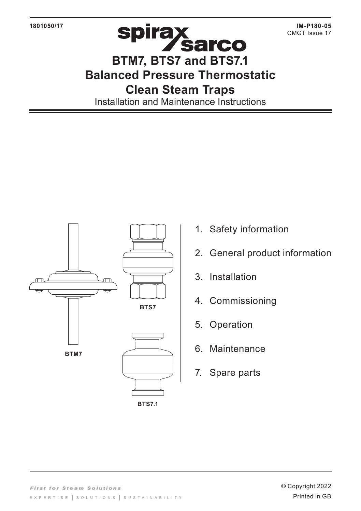**1801050/17**

**IM-P180-05**  CMGT Issue 17

# **Spirax<br>BTM7, BTS7 and BTS7.1 Balanced Pressure Thermostatic Clean Steam Traps**

Installation and Maintenance Instructions



- 1. Safety information
- 2. General product information
- 3. Installation
- 4. Commissioning
- 5. Operation
- 6. Maintenance
- 7. Spare parts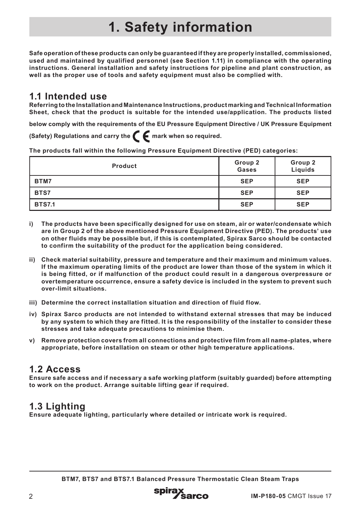# **1. Safety information**

**Safe operation of these products can only be guaranteed if they are properly installed, commissioned, used and maintained by qualified personnel (see Section 1.11) in compliance with the operating instructions. General installation and safety instructions for pipeline and plant construction, as well as the proper use of tools and safety equipment must also be complied with.**

# **1.1 Intended use**

**Referring to the Installation and Maintenance Instructions, product marking and Technical Information Sheet, check that the product is suitable for the intended use/application. The products listed** 

**below comply with the requirements of the EU Pressure Equipment Directive / UK Pressure Equipment** 

**(Safety) Regulations and carry the**  $\epsilon$  **mark when so required.** 

**The products fall within the following Pressure Equipment Directive (PED) categories:**

| Product       | Group 2<br>Gases | Group 2<br>Liquids |
|---------------|------------------|--------------------|
| BTM7          | <b>SEP</b>       | <b>SEP</b>         |
| BTS7          | <b>SEP</b>       | <b>SEP</b>         |
| <b>BTS7.1</b> | <b>SEP</b>       | <b>SEP</b>         |

- **i) The products have been specifically designed for use on steam, air or water/condensate which are in Group 2 of the above mentioned Pressure Equipment Directive (PED). The products' use on other fluids may be possible but, if this is contemplated, Spirax Sarco should be contacted to confirm the suitability of the product for the application being considered.**
- **ii) Check material suitability, pressure and temperature and their maximum and minimum values. If the maximum operating limits of the product are lower than those of the system in which it is being fitted, or if malfunction of the product could result in a dangerous overpressure or overtemperature occurrence, ensure a safety device is included in the system to prevent such over-limit situations.**
- **iii) Determine the correct installation situation and direction of fluid flow.**
- **iv) Spirax Sarco products are not intended to withstand external stresses that may be induced by any system to which they are fitted. It is the responsibility of the installer to consider these stresses and take adequate precautions to minimise them.**
- **v) Remove protection covers from all connections and protective film from all name-plates, where appropriate, before installation on steam or other high temperature applications.**

# **1.2 Access**

**Ensure safe access and if necessary a safe working platform (suitably guarded) before attempting to work on the product. Arrange suitable lifting gear if required.**

# **1.3 Lighting**

**Ensure adequate lighting, particularly where detailed or intricate work is required.**

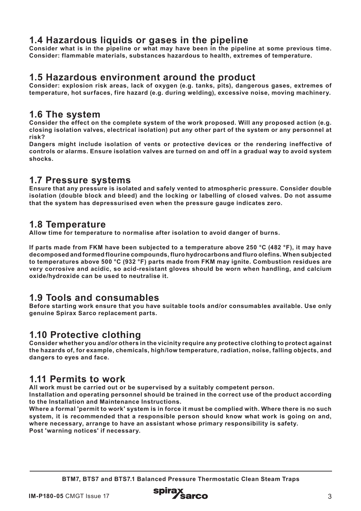# **1.4 Hazardous liquids or gases in the pipeline**

**Consider what is in the pipeline or what may have been in the pipeline at some previous time. Consider: flammable materials, substances hazardous to health, extremes of temperature.**

#### **1.5 Hazardous environment around the product**

**Consider: explosion risk areas, lack of oxygen (e.g. tanks, pits), dangerous gases, extremes of temperature, hot surfaces, fire hazard (e.g. during welding), excessive noise, moving machinery.**

#### **1.6 The system**

**Consider the effect on the complete system of the work proposed. Will any proposed action (e.g. closing isolation valves, electrical isolation) put any other part of the system or any personnel at risk?** 

**Dangers might include isolation of vents or protective devices or the rendering ineffective of controls or alarms. Ensure isolation valves are turned on and off in a gradual way to avoid system shocks.**

#### **1.7 Pressure systems**

**Ensure that any pressure is isolated and safely vented to atmospheric pressure. Consider double isolation (double block and bleed) and the locking or labelling of closed valves. Do not assume that the system has depressurised even when the pressure gauge indicates zero.**

#### **1.8 Temperature**

**Allow time for temperature to normalise after isolation to avoid danger of burns.**

**If parts made from FKM have been subjected to a temperature above 250 °C (482 °F), it may have decomposed and formed flourine compounds, fluro hydrocarbons and fluro olefins. When subjected to temperatures above 500 °C (932 °F) parts made from FKM may ignite. Combustion residues are very corrosive and acidic, so acid-resistant gloves should be worn when handling, and calcium oxide/hydroxide can be used to neutralise it.**

### **1.9 Tools and consumables**

**Before starting work ensure that you have suitable tools and/or consumables available. Use only genuine Spirax Sarco replacement parts.**

### **1.10 Protective clothing**

**Consider whether you and/or others in the vicinity require any protective clothing to protect against the hazards of, for example, chemicals, high/low temperature, radiation, noise, falling objects, and dangers to eyes and face.**

### **1.11 Permits to work**

**All work must be carried out or be supervised by a suitably competent person.**

**Installation and operating personnel should be trained in the correct use of the product according to the Installation and Maintenance Instructions.**

**Where a formal 'permit to work' system is in force it must be complied with. Where there is no such system, it is recommended that a responsible person should know what work is going on and, where necessary, arrange to have an assistant whose primary responsibility is safety. Post 'warning notices' if necessary.**

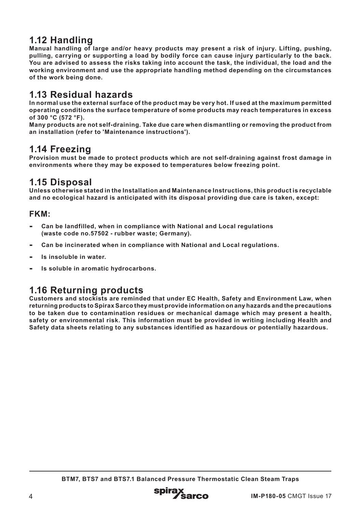# **1.12 Handling**

**Manual handling of large and/or heavy products may present a risk of injury. Lifting, pushing, pulling, carrying or supporting a load by bodily force can cause injury particularly to the back. You are advised to assess the risks taking into account the task, the individual, the load and the working environment and use the appropriate handling method depending on the circumstances of the work being done.**

## **1.13 Residual hazards**

**In normal use the external surface of the product may be very hot. If used at the maximum permitted operating conditions the surface temperature of some products may reach temperatures in excess of 300 °C (572 °F).**

**Many products are not self-draining. Take due care when dismantling or removing the product from an installation (refer to 'Maintenance instructions').**

# **1.14 Freezing**

**Provision must be made to protect products which are not self-draining against frost damage in environments where they may be exposed to temperatures below freezing point.**

# **1.15 Disposal**

**Unless otherwise stated in the Installation and Maintenance Instructions, this product is recyclable and no ecological hazard is anticipated with its disposal providing due care is taken, except:**

#### **FKM:**

- **- Can be landfilled, when in compliance with National and Local regulations (waste code no.57502 - rubber waste; Germany).**
- **- Can be incinerated when in compliance with National and Local regulations.**
- **- Is insoluble in water.**
- **- Is soluble in aromatic hydrocarbons.**

# **1.16 Returning products**

**Customers and stockists are reminded that under EC Health, Safety and Environment Law, when returning products to Spirax Sarco they must provide information on any hazards and the precautions to be taken due to contamination residues or mechanical damage which may present a health, safety or environmental risk. This information must be provided in writing including Health and Safety data sheets relating to any substances identified as hazardous or potentially hazardous.**

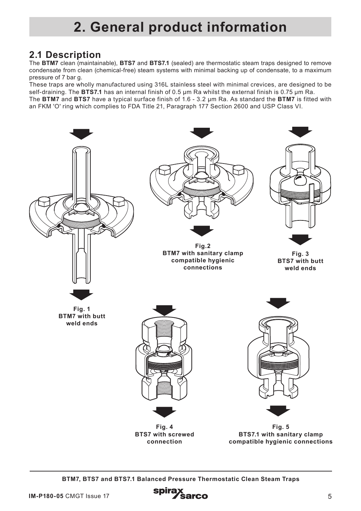# **2. General product information**

### **2.1 Description**

The **BTM7** clean (maintainable), **BTS7** and **BTS7.1** (sealed) are thermostatic steam traps designed to remove condensate from clean (chemical-free) steam systems with minimal backing up of condensate, to a maximum pressure of 7 bar g.

These traps are wholly manufactured using 316L stainless steel with minimal crevices, are designed to be self-draining. The **BTS7.1** has an internal finish of 0.5 um Ra whilst the external finish is 0.75 um Ra. The **BTM7** and **BTS7** have a typical surface finish of 1.6 - 3.2 µm Ra. As standard the **BTM7** is fitted with



**BTM7, BTS7 and BTS7.1 Balanced Pressure Thermostatic Clean Steam Traps**

**IM-P180-05 CMGT Issue 17 Spirax Sarco** 5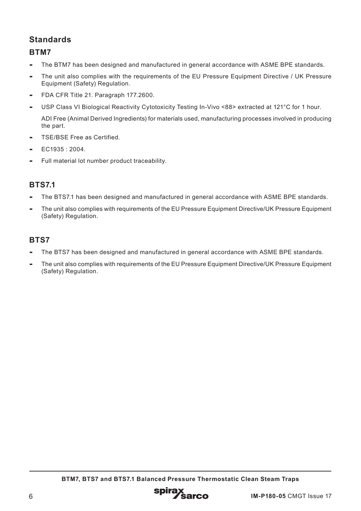### **Standards**

#### **BTM7**

- The BTM7 has been designed and manufactured in general accordance with ASME BPE standards.
- The unit also complies with the requirements of the EU Pressure Equipment Directive / UK Pressure Equipment (Safety) Regulation.
- FDA CFR Title 21. Paragraph 177.2600.
- USP Class VI Biological Reactivity Cytotoxicity Testing In-Vivo <88> extracted at 121°C for 1 hour.

ADI Free (Animal Derived Ingredients) for materials used, manufacturing processes involved in producing the part.

- TSE/BSE Free as Certified.
- EC1935 : 2004.
- Full material lot number product traceability.

#### **BTS7.1**

- The BTS7.1 has been designed and manufactured in general accordance with ASME BPE standards.
- The unit also complies with requirements of the EU Pressure Equipment Directive/UK Pressure Equipment (Safety) Regulation.

#### **BTS7**

- The BTS7 has been designed and manufactured in general accordance with ASME BPE standards.
- The unit also complies with requirements of the EU Pressure Equipment Directive/UK Pressure Equipment (Safety) Regulation.

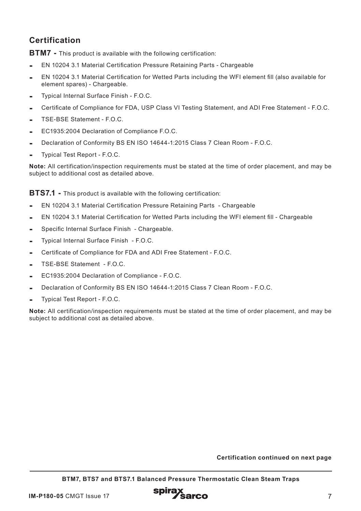### **Certification**

**BTM7** - This product is available with the following certification:

- **-** EN 10204 3.1 Material Certification Pressure Retaining Parts Chargeable
- **-** EN 10204 3.1 Material Certification for Wetted Parts including the WFI element fill (also available for element spares) - Chargeable.
- **-** Typical Internal Surface Finish F.O.C.
- **-** Certificate of Compliance for FDA, USP Class VI Testing Statement, and ADI Free Statement F.O.C.
- **-** TSE-BSE Statement F.O.C.
- **-** EC1935:2004 Declaration of Compliance F.O.C.
- **-** Declaration of Conformity BS EN ISO 14644-1:2015 Class 7 Clean Room F.O.C.
- **-** Typical Test Report F.O.C.

**Note:** All certification/inspection requirements must be stated at the time of order placement, and may be subject to additional cost as detailed above.

**BTS7.1 -** This product is available with the following certification:

- **-** EN 10204 3.1 Material Certification Pressure Retaining Parts Chargeable
- **-** EN 10204 3.1 Material Certification for Wetted Parts including the WFI element fill Chargeable
- **-** Specific Internal Surface Finish Chargeable.
- **-** Typical Internal Surface Finish F.O.C.
- **-** Certificate of Compliance for FDA and ADI Free Statement F.O.C.
- **-** TSE-BSE Statement F.O.C.
- **-** EC1935:2004 Declaration of Compliance F.O.C.
- **-** Declaration of Conformity BS EN ISO 14644-1:2015 Class 7 Clean Room F.O.C.
- **-** Typical Test Report F.O.C.

**Note:** All certification/inspection requirements must be stated at the time of order placement, and may be subject to additional cost as detailed above.

**Certification continued on next page**

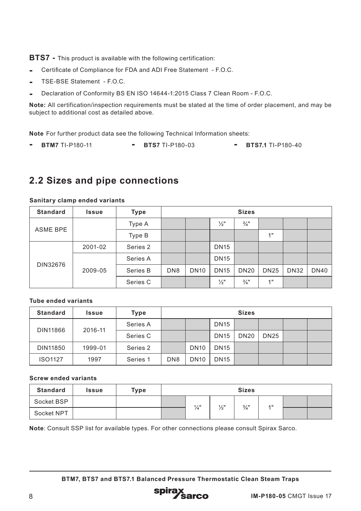**BTS7 -** This product is available with the following certification:

- **-** Certificate of Compliance for FDA and ADI Free Statement F.O.C.
- **-** TSE-BSE Statement F.O.C.
- **-** Declaration of Conformity BS EN ISO 14644-1:2015 Class 7 Clean Room F.O.C.

**Note:** All certification/inspection requirements must be stated at the time of order placement, and may be subject to additional cost as detailed above.

**Note** For further product data see the following Technical Information sheets:

**- BTM7** TI-P180-11 **- BTS7** TI-P180-03 **- BTS7.1** TI-P180-40

# **2.2 Sizes and pipe connections**

| <b>Standard</b> | <b>Issue</b> | Type     |                 |             |                 | <b>Sizes</b>    |             |             |             |
|-----------------|--------------|----------|-----------------|-------------|-----------------|-----------------|-------------|-------------|-------------|
| <b>ASME BPE</b> |              | Type A   |                 |             | $\frac{1}{2}$ " | $\frac{3}{4}$ " |             |             |             |
|                 |              | Type B   |                 |             |                 |                 | 1"          |             |             |
|                 | 2001-02      | Series 2 |                 |             | <b>DN15</b>     |                 |             |             |             |
| DIN32676        |              | Series A |                 |             | <b>DN15</b>     |                 |             |             |             |
|                 | 2009-05      | Series B | DN <sub>8</sub> | <b>DN10</b> | <b>DN15</b>     | <b>DN20</b>     | <b>DN25</b> | <b>DN32</b> | <b>DN40</b> |
|                 |              | Series C |                 |             | $\frac{1}{2}$ " | $\frac{3}{4}$ " | 1"          |             |             |

**Sanitary clamp ended variants**

#### **Tube ended variants**

| <b>Standard</b> | <b>Issue</b> | <b>Type</b> | <b>Sizes</b>    |             |             |             |             |  |  |
|-----------------|--------------|-------------|-----------------|-------------|-------------|-------------|-------------|--|--|
| DIN11866        | 2016-11      | Series A    |                 |             | <b>DN15</b> |             |             |  |  |
|                 |              | Series C    |                 |             | <b>DN15</b> | <b>DN20</b> | <b>DN25</b> |  |  |
| DIN11850        | 1999-01      | Series 2    |                 | <b>DN10</b> | <b>DN15</b> |             |             |  |  |
| ISO1127         | 1997         | Series 1    | DN <sub>8</sub> | <b>DN10</b> | <b>DN15</b> |             |             |  |  |

#### **Screw ended variants**

| Standard   | <b>Issue</b> | Type | <b>Sizes</b> |               |                 |                 |                   |  |  |
|------------|--------------|------|--------------|---------------|-----------------|-----------------|-------------------|--|--|
| Socket BSP |              |      |              | $\frac{1}{4}$ | $\frac{1}{2}$ " | $\frac{3}{4}$ " | $A$ <sub>11</sub> |  |  |
| Socket NPT |              |      |              |               |                 |                 |                   |  |  |

**Note**: Consult SSP list for available types. For other connections please consult Spirax Sarco.

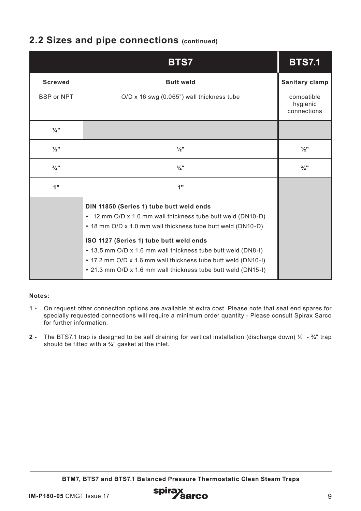# **2.2 Sizes and pipe connections (continued)**

|                   | BTS7                                                                                                                                                                                                                                                                                                                                                                                                                | <b>BTS7.1</b>                         |
|-------------------|---------------------------------------------------------------------------------------------------------------------------------------------------------------------------------------------------------------------------------------------------------------------------------------------------------------------------------------------------------------------------------------------------------------------|---------------------------------------|
| <b>Screwed</b>    | <b>Butt weld</b>                                                                                                                                                                                                                                                                                                                                                                                                    | Sanitary clamp                        |
| <b>BSP or NPT</b> | $O/D \times 16$ swg (0.065") wall thickness tube                                                                                                                                                                                                                                                                                                                                                                    | compatible<br>hygienic<br>connections |
| $\frac{1}{4}$ "   |                                                                                                                                                                                                                                                                                                                                                                                                                     |                                       |
| $\frac{1}{2}$ "   | $\frac{1}{2}$ "                                                                                                                                                                                                                                                                                                                                                                                                     | $\frac{1}{2}$ "                       |
| $\frac{3}{4}$ "   | $\frac{3}{4}$ "                                                                                                                                                                                                                                                                                                                                                                                                     | $\frac{3}{4}$ "                       |
| 1"                | 1"                                                                                                                                                                                                                                                                                                                                                                                                                  |                                       |
|                   | DIN 11850 (Series 1) tube butt weld ends<br>- 12 mm O/D x 1.0 mm wall thickness tube butt weld (DN10-D)<br>- 18 mm O/D x 1.0 mm wall thickness tube butt weld (DN10-D)<br>ISO 1127 (Series 1) tube butt weld ends<br>- 13.5 mm O/D x 1.6 mm wall thickness tube butt weld (DN8-I)<br>- 17.2 mm O/D x 1.6 mm wall thickness tube butt weld (DN10-I)<br>- 21.3 mm O/D x 1.6 mm wall thickness tube butt weld (DN15-I) |                                       |

#### **Notes:**

- **1** On request other connection options are available at extra cost. Please note that seat end spares for specially requested connections will require a minimum order quantity - Please consult Spirax Sarco for further information.
- **2** The BTS7.1 trap is designed to be self draining for vertical installation (discharge down) ½" ¾" trap should be fitted with a  $\frac{3}{4}$ " gasket at the inlet.

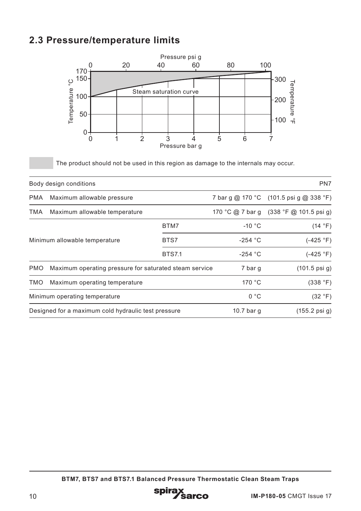# **2.3 Pressure/temperature limits**



The product should not be used in this region as damage to the internals may occur.

|            | Body design conditions                                 |               |                          | PN7                                     |
|------------|--------------------------------------------------------|---------------|--------------------------|-----------------------------------------|
|            |                                                        |               |                          |                                         |
| PMA        | Maximum allowable pressure                             |               |                          | 7 bar q @ 170 °C (101.5 psi q @ 338 °F) |
|            | TMA Maximum allowable temperature                      |               |                          | 170 °C @ 7 bar g (338 °F @ 101.5 psi g) |
|            |                                                        | BTM7          | $-10 °C$                 | (14 °F)                                 |
|            | Minimum allowable temperature                          | BTS7          | $-254 °C$                | $(-425 °F)$                             |
|            |                                                        | <b>BTS7.1</b> | $-254 °C$                | $(-425 °F)$                             |
| <b>PMO</b> | Maximum operating pressure for saturated steam service | 7 bar q       | $(101.5 \text{ psi } q)$ |                                         |
| TMO        | Maximum operating temperature                          |               |                          | (338 °F)                                |
|            | Minimum operating temperature                          |               | 0 °C                     | (32 °F)                                 |
|            | Designed for a maximum cold hydraulic test pressure    | 10.7 bar q    | $(155.2 \text{ psi g})$  |                                         |

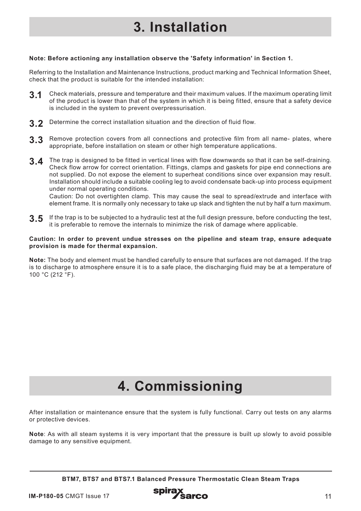# **3. Installation**

#### **Note: Before actioning any installation observe the 'Safety information' in Section 1.**

Referring to the Installation and Maintenance Instructions, product marking and Technical Information Sheet, check that the product is suitable for the intended installation:

- **3.1** Check materials, pressure and temperature and their maximum values. If the maximum operating limit of the product is lower than that of the system in which it is being fitted, ensure that a safety device is included in the system to prevent overpressurisation.
- **3.2** Determine the correct installation situation and the direction of fluid flow.
- **3.3** Remove protection covers from all connections and protective film from all name- plates, where appropriate, before installation on steam or other high temperature applications.
- **3.4** The trap is designed to be fitted in vertical lines with flow downwards so that it can be self-draining. Check flow arrow for correct orientation. Fittings, clamps and gaskets for pipe end connections are not supplied. Do not expose the element to superheat conditions since over expansion may result. Installation should include a suitable cooling leg to avoid condensate back-up into process equipment under normal operating conditions.

Caution: Do not overtighten clamp. This may cause the seal to spread/extrude and interface with element frame. It is normally only necessary to take up slack and tighten the nut by half a turn maximum.

**3.5** If the trap is to be subjected to a hydraulic test at the full design pressure, before conducting the test, it is preferable to remove the internals to minimize the risk of damage where applicable.

#### **Caution: In order to prevent undue stresses on the pipeline and steam trap, ensure adequate provision is made for thermal expansion.**

**Note:** The body and element must be handled carefully to ensure that surfaces are not damaged. If the trap is to discharge to atmosphere ensure it is to a safe place, the discharging fluid may be at a temperature of 100 °C (212 °F).

# **4. Commissioning**

After installation or maintenance ensure that the system is fully functional. Carry out tests on any alarms or protective devices.

**Note**: As with all steam systems it is very important that the pressure is built up slowly to avoid possible damage to any sensitive equipment.

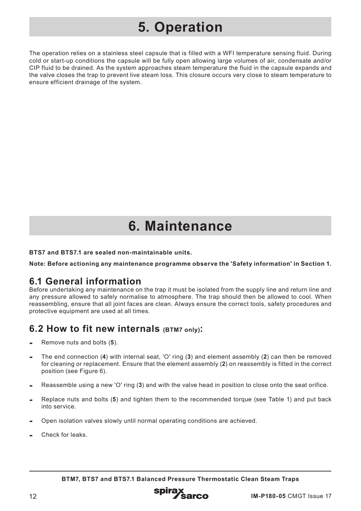# **5. Operation**

The operation relies on a stainless steel capsule that is filled with a WFI temperature sensing fluid. During cold or start-up conditions the capsule will be fully open allowing large volumes of air, condensate and/or CIP fluid to be drained. As the system approaches steam temperature the fluid in the capsule expands and the valve closes the trap to prevent live steam loss. This closure occurs very close to steam temperature to ensure efficient drainage of the system.

# **6. Maintenance**

**BTS7 and BTS7.1 are sealed non-maintainable units.**

**Note: Before actioning any maintenance programme observe the 'Safety information' in Section 1.**

# **6.1 General information**

Before undertaking any maintenance on the trap it must be isolated from the supply line and return line and any pressure allowed to safely normalise to atmosphere. The trap should then be allowed to cool. When reassembling, ensure that all joint faces are clean. Always ensure the correct tools, safety procedures and protective equipment are used at all times.

### **6.2 How to fit new internals (BTM7 only):**

- **-** Remove nuts and bolts (**5**).
- **-** The end connection (**4**) with internal seat, 'O' ring (**3**) and element assembly (**2**) can then be removed for cleaning or replacement. Ensure that the element assembly (**2**) on reassembly is fitted in the correct position (see Figure 6).
- **-** Reassemble using a new 'O' ring (**3**) and with the valve head in position to close onto the seat orifice.
- **-** Replace nuts and bolts (**5**) and tighten them to the recommended torque (see Table 1) and put back into service.
- **-** Open isolation valves slowly until normal operating conditions are achieved.
- **-** Check for leaks.

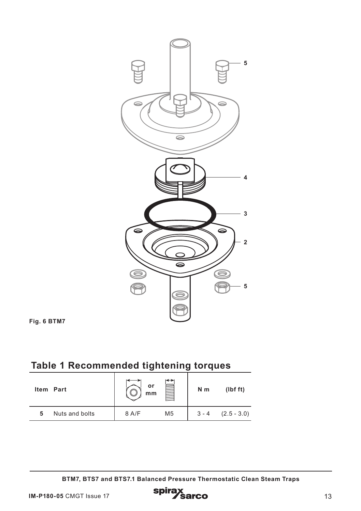

**Fig. 6 BTM7**

# **Table 1 Recommended tightening torques**

| Item Part           | or<br>mm | ⊷              | N <sub>m</sub> | (lbf ft)      |
|---------------------|----------|----------------|----------------|---------------|
| Nuts and bolts<br>5 | 8 A/F    | M <sub>5</sub> | $3 - 4$        | $(2.5 - 3.0)$ |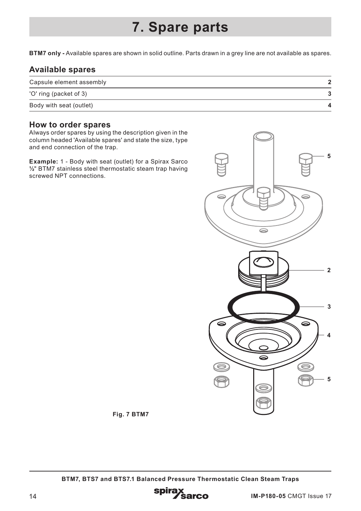# **7. Spare parts**

**BTM7 only -** Available spares are shown in solid outline. Parts drawn in a grey line are not available as spares.

#### **Available spares**

| Capsule element assembly |  |
|--------------------------|--|
| 'O' ring (packet of 3)   |  |
| Body with seat (outlet)  |  |

#### **How to order spares**

Always order spares by using the description given in the column headed 'Available spares' and state the size, type and end connection of the trap.

**Example:** 1 - Body with seat (outlet) for a Spirax Sarco **½**" BTM7 stainless steel thermostatic steam trap having screwed NPT connections.



**Fig. 7 BTM7**

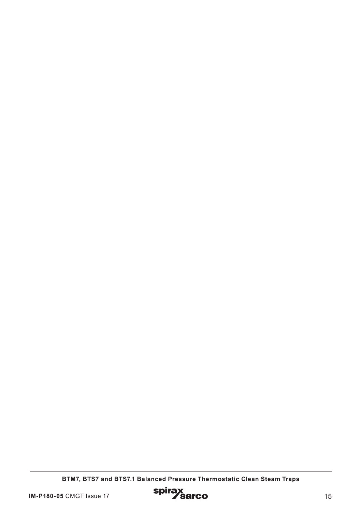